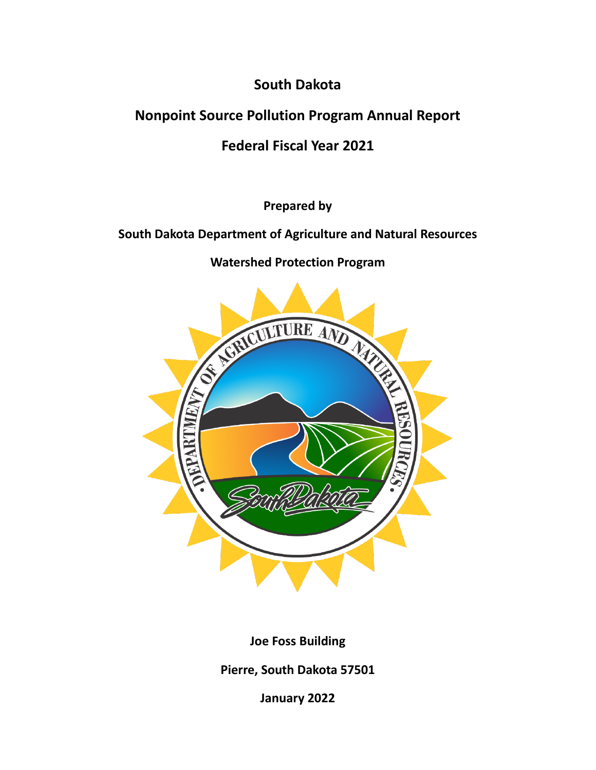**South Dakota**

**Nonpoint Source Pollution Program Annual Report**

**Federal Fiscal Year 2021**

**Prepared by**

**South Dakota Department of Agriculture and Natural Resources**

**Watershed Protection Program**



**Joe Foss Building**

**Pierre, South Dakota 57501**

**January 2022**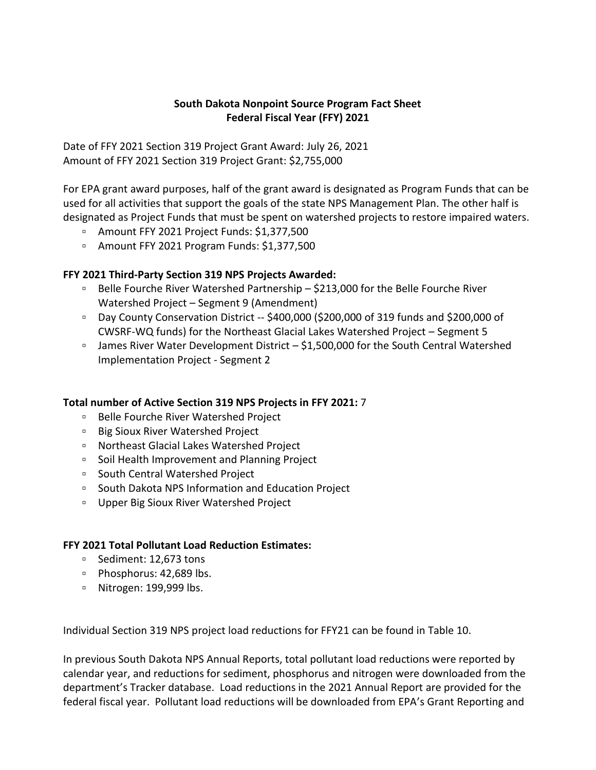## **South Dakota Nonpoint Source Program Fact Sheet Federal Fiscal Year (FFY) 2021**

Date of FFY 2021 Section 319 Project Grant Award: July 26, 2021 Amount of FFY 2021 Section 319 Project Grant: \$2,755,000

For EPA grant award purposes, half of the grant award is designated as Program Funds that can be used for all activities that support the goals of the state NPS Management Plan. The other half is designated as Project Funds that must be spent on watershed projects to restore impaired waters.

- Amount FFY 2021 Project Funds: \$1,377,500
- Amount FFY 2021 Program Funds: \$1,377,500

## **FFY 2021 Third-Party Section 319 NPS Projects Awarded:**

- Belle Fourche River Watershed Partnership \$213,000 for the Belle Fourche River Watershed Project – Segment 9 (Amendment)
- Day County Conservation District -- \$400,000 (\$200,000 of 319 funds and \$200,000 of CWSRF-WQ funds) for the Northeast Glacial Lakes Watershed Project – Segment 5
- □ James River Water Development District \$1,500,000 for the South Central Watershed Implementation Project - Segment 2

#### **Total number of Active Section 319 NPS Projects in FFY 2021:** 7

- Belle Fourche River Watershed Project
- Big Sioux River Watershed Project
- Northeast Glacial Lakes Watershed Project
- Soil Health Improvement and Planning Project
- South Central Watershed Project
- South Dakota NPS Information and Education Project
- Upper Big Sioux River Watershed Project

#### **FFY 2021 Total Pollutant Load Reduction Estimates:**

- Sediment: 12,673 tons
- Phosphorus: 42,689 lbs.
- Nitrogen: 199,999 lbs.

Individual Section 319 NPS project load reductions for FFY21 can be found in Table 10.

In previous South Dakota NPS Annual Reports, total pollutant load reductions were reported by calendar year, and reductions for sediment, phosphorus and nitrogen were downloaded from the department's Tracker database. Load reductions in the 2021 Annual Report are provided for the federal fiscal year. Pollutant load reductions will be downloaded from EPA's Grant Reporting and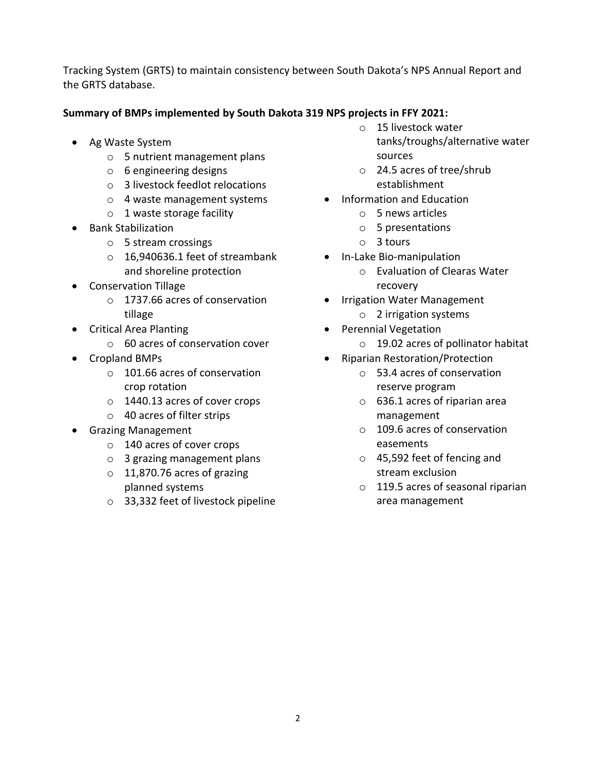Tracking System (GRTS) to maintain consistency between South Dakota's NPS Annual Report and the GRTS database.

## **Summary of BMPs implemented by South Dakota 319 NPS projects in FFY 2021:**

- Ag Waste System
	- o 5 nutrient management plans
	- o 6 engineering designs
	- o 3 livestock feedlot relocations
	- o 4 waste management systems
	- o 1 waste storage facility
- Bank Stabilization
	- o 5 stream crossings
	- o 16,940636.1 feet of streambank and shoreline protection
- Conservation Tillage
	- o 1737.66 acres of conservation tillage
- Critical Area Planting
	- o 60 acres of conservation cover
- Cropland BMPs
	- o 101.66 acres of conservation crop rotation
	- o 1440.13 acres of cover crops
	- o 40 acres of filter strips
- Grazing Management
	- o 140 acres of cover crops
	- o 3 grazing management plans
	- o 11,870.76 acres of grazing planned systems
	- o 33,332 feet of livestock pipeline
- o 15 livestock water tanks/troughs/alternative water sources
- o 24.5 acres of tree/shrub establishment
- Information and Education
	- o 5 news articles
	- o 5 presentations
	- o 3 tours
- In-Lake Bio-manipulation
	- o Evaluation of Clearas Water recovery
- Irrigation Water Management
	- o 2 irrigation systems
- Perennial Vegetation
	- o 19.02 acres of pollinator habitat
- Riparian Restoration/Protection
	- o 53.4 acres of conservation reserve program
	- o 636.1 acres of riparian area management
	- o 109.6 acres of conservation easements
	- o 45,592 feet of fencing and stream exclusion
	- o 119.5 acres of seasonal riparian area management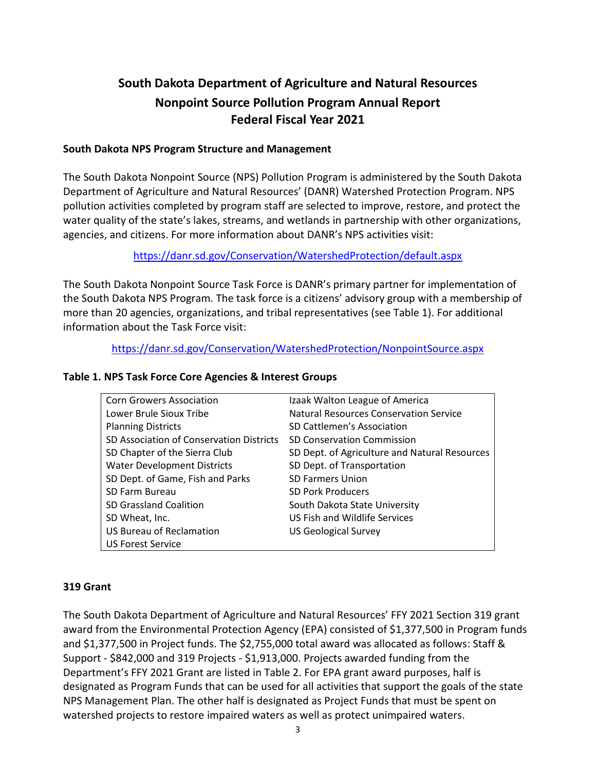# **South Dakota Department of Agriculture and Natural Resources Nonpoint Source Pollution Program Annual Report Federal Fiscal Year 2021**

#### **South Dakota NPS Program Structure and Management**

The South Dakota Nonpoint Source (NPS) Pollution Program is administered by the South Dakota Department of Agriculture and Natural Resources' (DANR) Watershed Protection Program. NPS pollution activities completed by program staff are selected to improve, restore, and protect the water quality of the state's lakes, streams, and wetlands in partnership with other organizations, agencies, and citizens. For more information about DANR's NPS activities visit:

<https://danr.sd.gov/Conservation/WatershedProtection/default.aspx>

The South Dakota Nonpoint Source Task Force is DANR's primary partner for implementation of the South Dakota NPS Program. The task force is a citizens' advisory group with a membership of more than 20 agencies, organizations, and tribal representatives (see Table 1). For additional information about the Task Force visit:

<https://danr.sd.gov/Conservation/WatershedProtection/NonpointSource.aspx>

#### **Table 1. NPS Task Force Core Agencies & Interest Groups**

| <b>Corn Growers Association</b>          | Izaak Walton League of America                |
|------------------------------------------|-----------------------------------------------|
| Lower Brule Sioux Tribe                  | Natural Resources Conservation Service        |
| <b>Planning Districts</b>                | SD Cattlemen's Association                    |
| SD Association of Conservation Districts | SD Conservation Commission                    |
| SD Chapter of the Sierra Club            | SD Dept. of Agriculture and Natural Resources |
| <b>Water Development Districts</b>       | SD Dept. of Transportation                    |
| SD Dept. of Game, Fish and Parks         | <b>SD Farmers Union</b>                       |
| SD Farm Bureau                           | <b>SD Pork Producers</b>                      |
| <b>SD Grassland Coalition</b>            | South Dakota State University                 |
| SD Wheat, Inc.                           | US Fish and Wildlife Services                 |
| <b>US Bureau of Reclamation</b>          | <b>US Geological Survey</b>                   |
| <b>US Forest Service</b>                 |                                               |

#### **319 Grant**

The South Dakota Department of Agriculture and Natural Resources' FFY 2021 Section 319 grant award from the Environmental Protection Agency (EPA) consisted of \$1,377,500 in Program funds and \$1,377,500 in Project funds. The \$2,755,000 total award was allocated as follows: Staff & Support - \$842,000 and 319 Projects - \$1,913,000. Projects awarded funding from the Department's FFY 2021 Grant are listed in Table 2. For EPA grant award purposes, half is designated as Program Funds that can be used for all activities that support the goals of the state NPS Management Plan. The other half is designated as Project Funds that must be spent on watershed projects to restore impaired waters as well as protect unimpaired waters.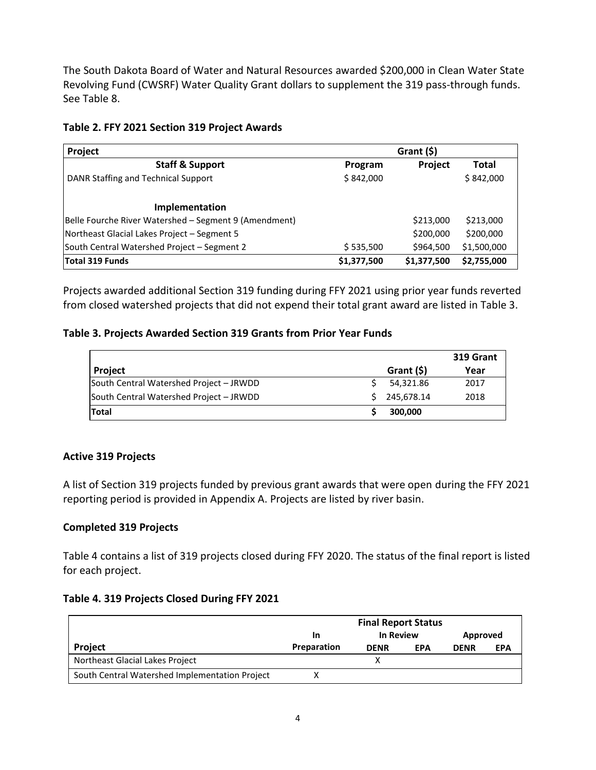The South Dakota Board of Water and Natural Resources awarded \$200,000 in Clean Water State Revolving Fund (CWSRF) Water Quality Grant dollars to supplement the 319 pass-through funds. See Table 8.

#### **Table 2. FFY 2021 Section 319 Project Awards**

| Project                                               |             | Grant $(5)$    |              |
|-------------------------------------------------------|-------------|----------------|--------------|
| <b>Staff &amp; Support</b>                            | Program     | <b>Project</b> | <b>Total</b> |
| DANR Staffing and Technical Support                   | \$842,000   |                | \$842,000    |
| Implementation                                        |             |                |              |
| Belle Fourche River Watershed - Segment 9 (Amendment) |             | \$213,000      | \$213,000    |
| Northeast Glacial Lakes Project - Segment 5           |             | \$200,000      | \$200,000    |
| South Central Watershed Project - Segment 2           | \$535,500   | \$964,500      | \$1,500,000  |
| Total 319 Funds                                       | \$1,377,500 | \$1,377,500    | \$2,755,000  |

Projects awarded additional Section 319 funding during FFY 2021 using prior year funds reverted from closed watershed projects that did not expend their total grant award are listed in Table 3.

## **Table 3. Projects Awarded Section 319 Grants from Prior Year Funds**

|                                         |            | 319 Grant |
|-----------------------------------------|------------|-----------|
| Project                                 | Grant (\$) | Year      |
| South Central Watershed Project - JRWDD | 54,321.86  | 2017      |
| South Central Watershed Project - JRWDD | 245.678.14 | 2018      |
| <b>Total</b>                            | 300,000    |           |

## **Active 319 Projects**

A list of Section 319 projects funded by previous grant awards that were open during the FFY 2021 reporting period is provided in Appendix A. Projects are listed by river basin.

## **Completed 319 Projects**

Table 4 contains a list of 319 projects closed during FFY 2020. The status of the final report is listed for each project.

#### **Table 4. 319 Projects Closed During FFY 2021**

|                                                |             | <b>Final Report Status</b> |     |             |            |
|------------------------------------------------|-------------|----------------------------|-----|-------------|------------|
|                                                | In          | In Review                  |     | Approved    |            |
| Project                                        | Preparation | <b>DENR</b>                | EPA | <b>DENR</b> | <b>EPA</b> |
| Northeast Glacial Lakes Project                |             |                            |     |             |            |
| South Central Watershed Implementation Project |             |                            |     |             |            |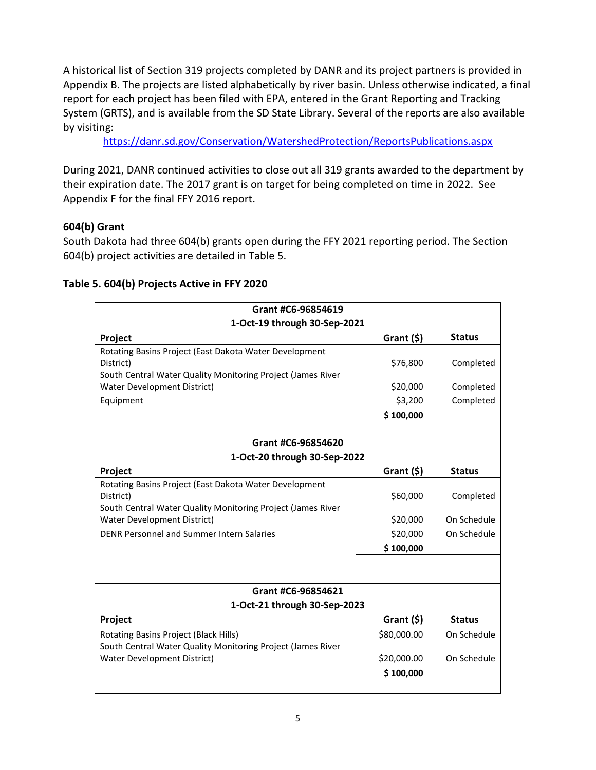A historical list of Section 319 projects completed by DANR and its project partners is provided in Appendix B. The projects are listed alphabetically by river basin. Unless otherwise indicated, a final report for each project has been filed with EPA, entered in the Grant Reporting and Tracking System (GRTS), and is available from the SD State Library. Several of the reports are also available by visiting:

<https://danr.sd.gov/Conservation/WatershedProtection/ReportsPublications.aspx>

During 2021, DANR continued activities to close out all 319 grants awarded to the department by their expiration date. The 2017 grant is on target for being completed on time in 2022. See Appendix F for the final FFY 2016 report.

## **604(b) Grant**

South Dakota had three 604(b) grants open during the FFY 2021 reporting period. The Section 604(b) project activities are detailed in Table 5.

| Grant #C6-96854619                                          |             |               |
|-------------------------------------------------------------|-------------|---------------|
| 1-Oct-19 through 30-Sep-2021                                |             |               |
| Project                                                     | Grant (\$)  | <b>Status</b> |
| Rotating Basins Project (East Dakota Water Development      |             |               |
| District)                                                   | \$76,800    | Completed     |
| South Central Water Quality Monitoring Project (James River |             |               |
| Water Development District)                                 | \$20,000    | Completed     |
| Equipment                                                   | \$3,200     | Completed     |
|                                                             | \$100,000   |               |
| Grant #C6-96854620                                          |             |               |
| 1-Oct-20 through 30-Sep-2022                                |             |               |
| Project                                                     | Grant (\$)  | <b>Status</b> |
| Rotating Basins Project (East Dakota Water Development      |             |               |
| District)                                                   | \$60,000    | Completed     |
| South Central Water Quality Monitoring Project (James River |             |               |
| Water Development District)                                 | \$20,000    | On Schedule   |
| DENR Personnel and Summer Intern Salaries                   | \$20,000    | On Schedule   |
|                                                             | \$100,000   |               |
|                                                             |             |               |
| Grant #C6-96854621                                          |             |               |
| 1-Oct-21 through 30-Sep-2023                                |             |               |
| Project                                                     | Grant (\$)  | <b>Status</b> |
| Rotating Basins Project (Black Hills)                       | \$80,000.00 | On Schedule   |
| South Central Water Quality Monitoring Project (James River |             |               |
| Water Development District)                                 | \$20,000.00 | On Schedule   |
|                                                             | \$100,000   |               |
|                                                             |             |               |

#### **Table 5. 604(b) Projects Active in FFY 2020**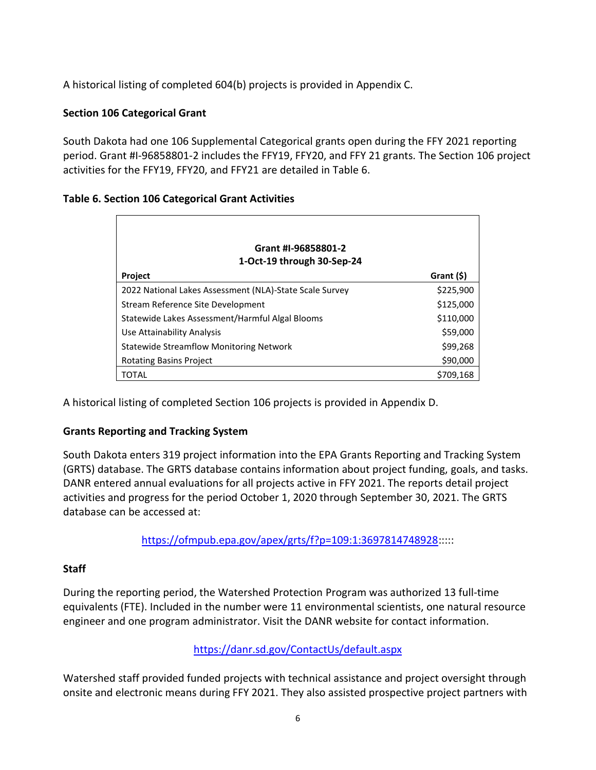A historical listing of completed 604(b) projects is provided in Appendix C.

## **Section 106 Categorical Grant**

South Dakota had one 106 Supplemental Categorical grants open during the FFY 2021 reporting period. Grant #I-96858801-2 includes the FFY19, FFY20, and FFY 21 grants. The Section 106 project activities for the FFY19, FFY20, and FFY21 are detailed in Table 6.

|  |  |  | Table 6. Section 106 Categorical Grant Activities |  |  |
|--|--|--|---------------------------------------------------|--|--|
|--|--|--|---------------------------------------------------|--|--|

| Grant #I-96858801-2                                     |            |
|---------------------------------------------------------|------------|
| 1-Oct-19 through 30-Sep-24                              |            |
| <b>Project</b>                                          | Grant (\$) |
| 2022 National Lakes Assessment (NLA)-State Scale Survey | \$225,900  |
| Stream Reference Site Development                       | \$125,000  |
| Statewide Lakes Assessment/Harmful Algal Blooms         | \$110,000  |
| Use Attainability Analysis                              | \$59,000   |
| <b>Statewide Streamflow Monitoring Network</b>          | \$99,268   |
| <b>Rotating Basins Project</b>                          | \$90,000   |
| TOTAL                                                   | \$709,168  |

A historical listing of completed Section 106 projects is provided in Appendix D.

## **Grants Reporting and Tracking System**

South Dakota enters 319 project information into the EPA Grants Reporting and Tracking System (GRTS) database. The GRTS database contains information about project funding, goals, and tasks. DANR entered annual evaluations for all projects active in FFY 2021. The reports detail project activities and progress for the period October 1, 2020 through September 30, 2021. The GRTS database can be accessed at:

[https://ofmpub.epa.gov/apex/grts/f?p=109:1:3697814748928:](https://ofmpub.epa.gov/apex/grts/f?p=109:1:3697814748928)::::

## **Staff**

During the reporting period, the Watershed Protection Program was authorized 13 full-time equivalents (FTE). Included in the number were 11 environmental scientists, one natural resource engineer and one program administrator. Visit the DANR website for contact information.

## <https://danr.sd.gov/ContactUs/default.aspx>

Watershed staff provided funded projects with technical assistance and project oversight through onsite and electronic means during FFY 2021. They also assisted prospective project partners with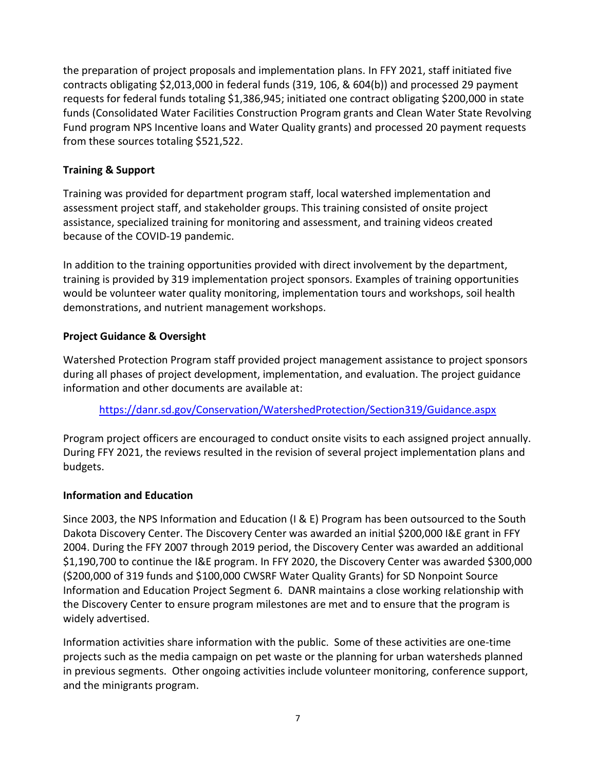the preparation of project proposals and implementation plans. In FFY 2021, staff initiated five contracts obligating \$2,013,000 in federal funds (319, 106, & 604(b)) and processed 29 payment requests for federal funds totaling \$1,386,945; initiated one contract obligating \$200,000 in state funds (Consolidated Water Facilities Construction Program grants and Clean Water State Revolving Fund program NPS Incentive loans and Water Quality grants) and processed 20 payment requests from these sources totaling \$521,522.

## **Training & Support**

Training was provided for department program staff, local watershed implementation and assessment project staff, and stakeholder groups. This training consisted of onsite project assistance, specialized training for monitoring and assessment, and training videos created because of the COVID-19 pandemic.

In addition to the training opportunities provided with direct involvement by the department, training is provided by 319 implementation project sponsors. Examples of training opportunities would be volunteer water quality monitoring, implementation tours and workshops, soil health demonstrations, and nutrient management workshops.

## **Project Guidance & Oversight**

Watershed Protection Program staff provided project management assistance to project sponsors during all phases of project development, implementation, and evaluation. The project guidance information and other documents are available at:

<https://danr.sd.gov/Conservation/WatershedProtection/Section319/Guidance.aspx>

Program project officers are encouraged to conduct onsite visits to each assigned project annually. During FFY 2021, the reviews resulted in the revision of several project implementation plans and budgets.

## **Information and Education**

Since 2003, the NPS Information and Education (I & E) Program has been outsourced to the South Dakota Discovery Center. The Discovery Center was awarded an initial \$200,000 I&E grant in FFY 2004. During the FFY 2007 through 2019 period, the Discovery Center was awarded an additional \$1,190,700 to continue the I&E program. In FFY 2020, the Discovery Center was awarded \$300,000 (\$200,000 of 319 funds and \$100,000 CWSRF Water Quality Grants) for SD Nonpoint Source Information and Education Project Segment 6. DANR maintains a close working relationship with the Discovery Center to ensure program milestones are met and to ensure that the program is widely advertised.

Information activities share information with the public. Some of these activities are one-time projects such as the media campaign on pet waste or the planning for urban watersheds planned in previous segments. Other ongoing activities include volunteer monitoring, conference support, and the minigrants program.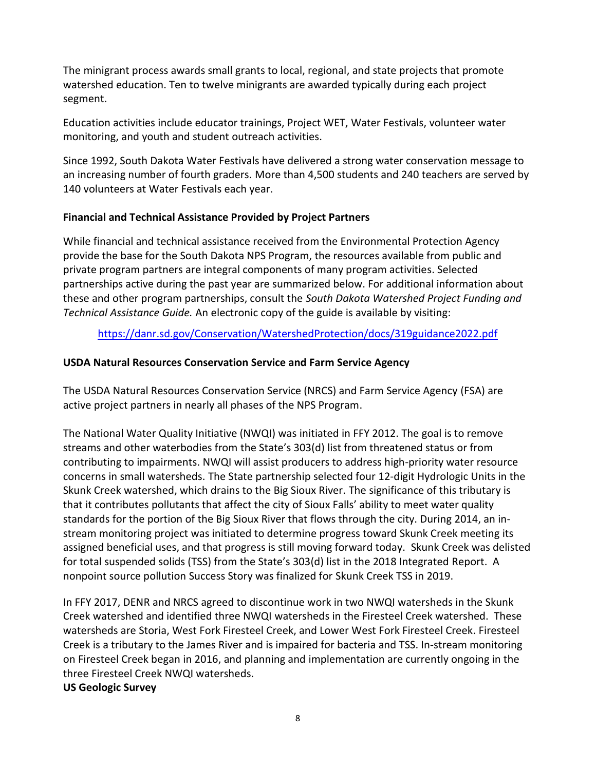The minigrant process awards small grants to local, regional, and state projects that promote watershed education. Ten to twelve minigrants are awarded typically during each project segment.

Education activities include educator trainings, Project WET, Water Festivals, volunteer water monitoring, and youth and student outreach activities.

Since 1992, South Dakota Water Festivals have delivered a strong water conservation message to an increasing number of fourth graders. More than 4,500 students and 240 teachers are served by 140 volunteers at Water Festivals each year.

### **Financial and Technical Assistance Provided by Project Partners**

While financial and technical assistance received from the Environmental Protection Agency provide the base for the South Dakota NPS Program, the resources available from public and private program partners are integral components of many program activities. Selected partnerships active during the past year are summarized below. For additional information about these and other program partnerships, consult the *South Dakota Watershed Project Funding and Technical Assistance Guide.* An electronic copy of the guide is available by visiting:

<https://danr.sd.gov/Conservation/WatershedProtection/docs/319guidance2022.pdf>

## **USDA Natural Resources Conservation Service and Farm Service Agency**

The USDA Natural Resources Conservation Service (NRCS) and Farm Service Agency (FSA) are active project partners in nearly all phases of the NPS Program.

The National Water Quality Initiative (NWQI) was initiated in FFY 2012. The goal is to remove streams and other waterbodies from the State's 303(d) list from threatened status or from contributing to impairments. NWQI will assist producers to address high-priority water resource concerns in small watersheds. The State partnership selected four 12-digit Hydrologic Units in the Skunk Creek watershed, which drains to the Big Sioux River. The significance of this tributary is that it contributes pollutants that affect the city of Sioux Falls' ability to meet water quality standards for the portion of the Big Sioux River that flows through the city. During 2014, an instream monitoring project was initiated to determine progress toward Skunk Creek meeting its assigned beneficial uses, and that progress is still moving forward today. Skunk Creek was delisted for total suspended solids (TSS) from the State's 303(d) list in the 2018 Integrated Report. A nonpoint source pollution Success Story was finalized for Skunk Creek TSS in 2019.

In FFY 2017, DENR and NRCS agreed to discontinue work in two NWQI watersheds in the Skunk Creek watershed and identified three NWQI watersheds in the Firesteel Creek watershed. These watersheds are Storia, West Fork Firesteel Creek, and Lower West Fork Firesteel Creek. Firesteel Creek is a tributary to the James River and is impaired for bacteria and TSS. In-stream monitoring on Firesteel Creek began in 2016, and planning and implementation are currently ongoing in the three Firesteel Creek NWQI watersheds.

#### **US Geologic Survey**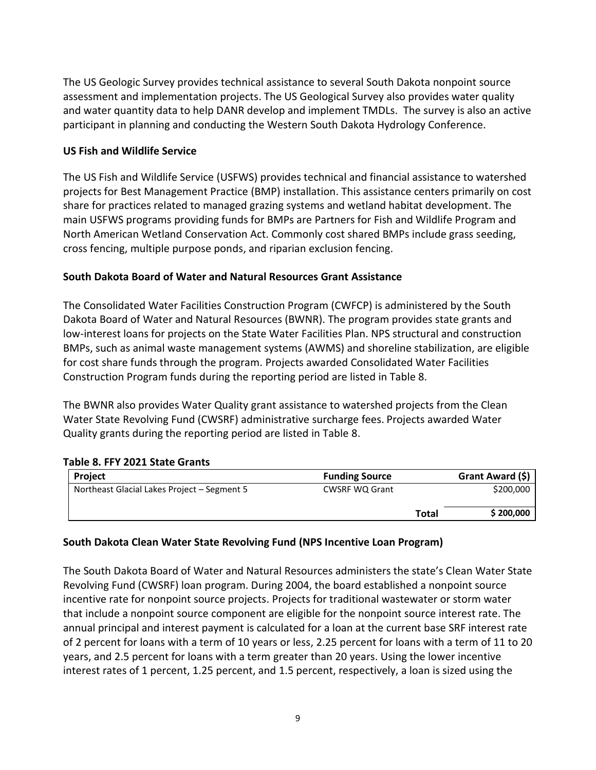The US Geologic Survey provides technical assistance to several South Dakota nonpoint source assessment and implementation projects. The US Geological Survey also provides water quality and water quantity data to help DANR develop and implement TMDLs. The survey is also an active participant in planning and conducting the Western South Dakota Hydrology Conference.

## **US Fish and Wildlife Service**

The US Fish and Wildlife Service (USFWS) provides technical and financial assistance to watershed projects for Best Management Practice (BMP) installation. This assistance centers primarily on cost share for practices related to managed grazing systems and wetland habitat development. The main USFWS programs providing funds for BMPs are Partners for Fish and Wildlife Program and North American Wetland Conservation Act. Commonly cost shared BMPs include grass seeding, cross fencing, multiple purpose ponds, and riparian exclusion fencing.

### **South Dakota Board of Water and Natural Resources Grant Assistance**

The Consolidated Water Facilities Construction Program (CWFCP) is administered by the South Dakota Board of Water and Natural Resources (BWNR). The program provides state grants and low-interest loans for projects on the State Water Facilities Plan. NPS structural and construction BMPs, such as animal waste management systems (AWMS) and shoreline stabilization, are eligible for cost share funds through the program. Projects awarded Consolidated Water Facilities Construction Program funds during the reporting period are listed in Table 8.

The BWNR also provides Water Quality grant assistance to watershed projects from the Clean Water State Revolving Fund (CWSRF) administrative surcharge fees. Projects awarded Water Quality grants during the reporting period are listed in Table 8.

## **Table 8. FFY 2021 State Grants**

| Project                                     | <b>Funding Source</b> | Grant Award (\$)          |
|---------------------------------------------|-----------------------|---------------------------|
| Northeast Glacial Lakes Project – Segment 5 | <b>CWSRF WQ Grant</b> | \$200,000                 |
|                                             |                       | \$200,000<br><b>Total</b> |

## **South Dakota Clean Water State Revolving Fund (NPS Incentive Loan Program)**

The South Dakota Board of Water and Natural Resources administers the state's Clean Water State Revolving Fund (CWSRF) loan program. During 2004, the board established a nonpoint source incentive rate for nonpoint source projects. Projects for traditional wastewater or storm water that include a nonpoint source component are eligible for the nonpoint source interest rate. The annual principal and interest payment is calculated for a loan at the current base SRF interest rate of 2 percent for loans with a term of 10 years or less, 2.25 percent for loans with a term of 11 to 20 years, and 2.5 percent for loans with a term greater than 20 years. Using the lower incentive interest rates of 1 percent, 1.25 percent, and 1.5 percent, respectively, a loan is sized using the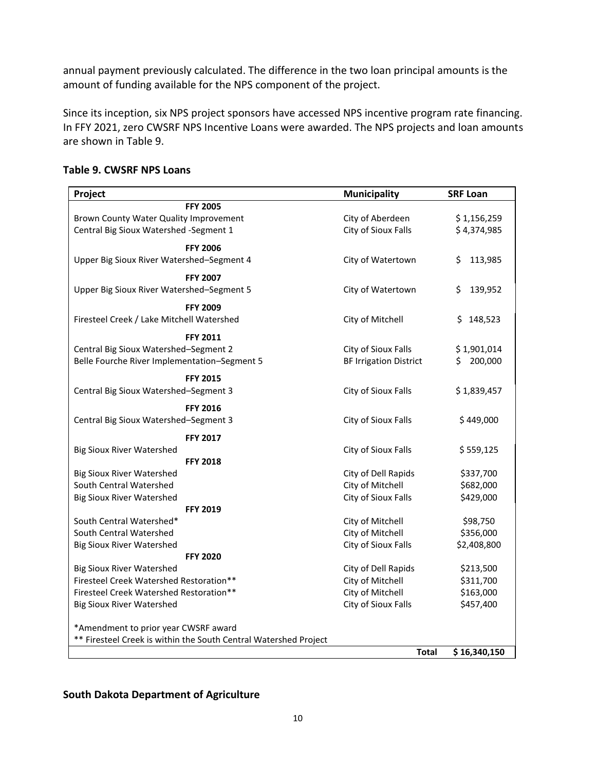annual payment previously calculated. The difference in the two loan principal amounts is the amount of funding available for the NPS component of the project.

Since its inception, six NPS project sponsors have accessed NPS incentive program rate financing. In FFY 2021, zero CWSRF NPS Incentive Loans were awarded. The NPS projects and loan amounts are shown in Table 9.

| Project                                                          | <b>Municipality</b>           | <b>SRF Loan</b> |
|------------------------------------------------------------------|-------------------------------|-----------------|
| <b>FFY 2005</b>                                                  |                               |                 |
| Brown County Water Quality Improvement                           | City of Aberdeen              | \$1,156,259     |
| Central Big Sioux Watershed -Segment 1                           | City of Sioux Falls           | \$4,374,985     |
| <b>FFY 2006</b>                                                  |                               |                 |
| Upper Big Sioux River Watershed-Segment 4                        | City of Watertown             | 113,985<br>Ś.   |
| <b>FFY 2007</b>                                                  |                               |                 |
| Upper Big Sioux River Watershed-Segment 5                        | City of Watertown             | Ś.<br>139,952   |
| <b>FFY 2009</b>                                                  |                               |                 |
| Firesteel Creek / Lake Mitchell Watershed                        | City of Mitchell              | \$<br>148,523   |
| <b>FFY 2011</b>                                                  |                               |                 |
| Central Big Sioux Watershed-Segment 2                            | City of Sioux Falls           | \$1,901,014     |
| Belle Fourche River Implementation-Segment 5                     | <b>BF Irrigation District</b> | 200,000<br>Ś.   |
| <b>FFY 2015</b>                                                  |                               |                 |
| Central Big Sioux Watershed-Segment 3                            | City of Sioux Falls           | \$1,839,457     |
| <b>FFY 2016</b>                                                  |                               |                 |
| Central Big Sioux Watershed-Segment 3                            | City of Sioux Falls           | \$449,000       |
| <b>FFY 2017</b>                                                  |                               |                 |
| <b>Big Sioux River Watershed</b>                                 | City of Sioux Falls           | \$559,125       |
| <b>FFY 2018</b>                                                  |                               |                 |
| <b>Big Sioux River Watershed</b>                                 | City of Dell Rapids           | \$337,700       |
| South Central Watershed                                          | City of Mitchell              | \$682,000       |
| <b>Big Sioux River Watershed</b>                                 | City of Sioux Falls           | \$429,000       |
| <b>FFY 2019</b>                                                  |                               |                 |
| South Central Watershed*                                         | City of Mitchell              | \$98,750        |
| South Central Watershed                                          | City of Mitchell              | \$356,000       |
| <b>Big Sioux River Watershed</b>                                 | City of Sioux Falls           | \$2,408,800     |
| <b>FFY 2020</b>                                                  |                               |                 |
| <b>Big Sioux River Watershed</b>                                 | City of Dell Rapids           | \$213,500       |
| Firesteel Creek Watershed Restoration**                          | City of Mitchell              | \$311,700       |
| Firesteel Creek Watershed Restoration**                          | City of Mitchell              | \$163,000       |
| <b>Big Sioux River Watershed</b>                                 | City of Sioux Falls           | \$457,400       |
| *Amendment to prior year CWSRF award                             |                               |                 |
| ** Firesteel Creek is within the South Central Watershed Project |                               |                 |
|                                                                  | <b>Total</b>                  | \$16,340,150    |
|                                                                  |                               |                 |

#### **Table 9. CWSRF NPS Loans**

#### **South Dakota Department of Agriculture**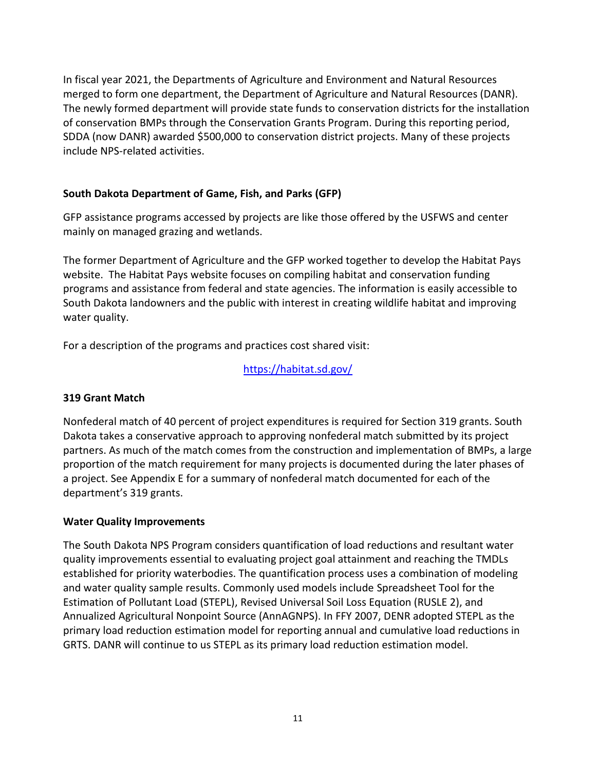In fiscal year 2021, the Departments of Agriculture and Environment and Natural Resources merged to form one department, the Department of Agriculture and Natural Resources (DANR). The newly formed department will provide state funds to conservation districts for the installation of conservation BMPs through the Conservation Grants Program. During this reporting period, SDDA (now DANR) awarded \$500,000 to conservation district projects. Many of these projects include NPS-related activities.

## **South Dakota Department of Game, Fish, and Parks (GFP)**

GFP assistance programs accessed by projects are like those offered by the USFWS and center mainly on managed grazing and wetlands.

The former Department of Agriculture and the GFP worked together to develop the Habitat Pays website. The Habitat Pays website focuses on compiling habitat and conservation funding programs and assistance from federal and state agencies. The information is easily accessible to South Dakota landowners and the public with interest in creating wildlife habitat and improving water quality.

For a description of the programs and practices cost shared visit:

<https://habitat.sd.gov/>

## **319 Grant Match**

Nonfederal match of 40 percent of project expenditures is required for Section 319 grants. South Dakota takes a conservative approach to approving nonfederal match submitted by its project partners. As much of the match comes from the construction and implementation of BMPs, a large proportion of the match requirement for many projects is documented during the later phases of a project. See Appendix E for a summary of nonfederal match documented for each of the department's 319 grants.

## **Water Quality Improvements**

The South Dakota NPS Program considers quantification of load reductions and resultant water quality improvements essential to evaluating project goal attainment and reaching the TMDLs established for priority waterbodies. The quantification process uses a combination of modeling and water quality sample results. Commonly used models include Spreadsheet Tool for the Estimation of Pollutant Load (STEPL), Revised Universal Soil Loss Equation (RUSLE 2), and Annualized Agricultural Nonpoint Source (AnnAGNPS). In FFY 2007, DENR adopted STEPL as the primary load reduction estimation model for reporting annual and cumulative load reductions in GRTS. DANR will continue to us STEPL as its primary load reduction estimation model.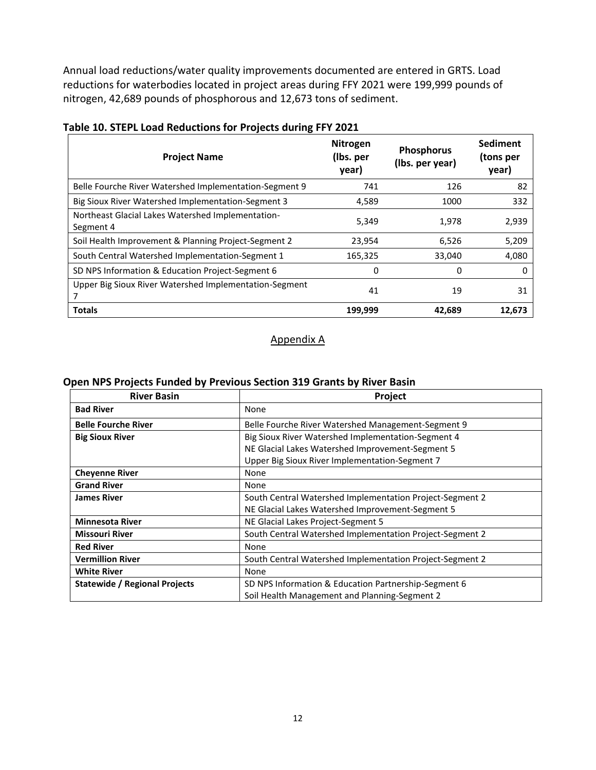Annual load reductions/water quality improvements documented are entered in GRTS. Load reductions for waterbodies located in project areas during FFY 2021 were 199,999 pounds of nitrogen, 42,689 pounds of phosphorous and 12,673 tons of sediment.

| <b>Project Name</b>                                            | <b>Nitrogen</b><br>(Ibs. per<br>year) | <b>Phosphorus</b><br>(Ibs. per year) | <b>Sediment</b><br>(tons per<br>year) |
|----------------------------------------------------------------|---------------------------------------|--------------------------------------|---------------------------------------|
| Belle Fourche River Watershed Implementation-Segment 9         | 741                                   | 126                                  | 82                                    |
| Big Sioux River Watershed Implementation-Segment 3             | 4,589                                 | 1000                                 | 332                                   |
| Northeast Glacial Lakes Watershed Implementation-<br>Segment 4 | 5,349                                 | 1,978                                | 2,939                                 |
| Soil Health Improvement & Planning Project-Segment 2           | 23,954                                | 6,526                                | 5,209                                 |
| South Central Watershed Implementation-Segment 1               | 165,325                               | 33,040                               | 4,080                                 |
| SD NPS Information & Education Project-Segment 6               | 0                                     | 0                                    | 0                                     |
| Upper Big Sioux River Watershed Implementation-Segment         | 41                                    | 19                                   | 31                                    |
| <b>Totals</b>                                                  | 199,999                               | 42,689                               | 12,673                                |

### **Table 10. STEPL Load Reductions for Projects during FFY 2021**

#### Appendix A

### **Open NPS Projects Funded by Previous Section 319 Grants by River Basin**

| <b>River Basin</b>                   | Project                                                  |
|--------------------------------------|----------------------------------------------------------|
| <b>Bad River</b>                     | None                                                     |
| <b>Belle Fourche River</b>           | Belle Fourche River Watershed Management-Segment 9       |
| <b>Big Sioux River</b>               | Big Sioux River Watershed Implementation-Segment 4       |
|                                      | NE Glacial Lakes Watershed Improvement-Segment 5         |
|                                      | Upper Big Sioux River Implementation-Segment 7           |
| <b>Cheyenne River</b>                | None                                                     |
| <b>Grand River</b>                   | None                                                     |
| <b>James River</b>                   | South Central Watershed Implementation Project-Segment 2 |
|                                      | NE Glacial Lakes Watershed Improvement-Segment 5         |
| <b>Minnesota River</b>               | NE Glacial Lakes Project-Segment 5                       |
| <b>Missouri River</b>                | South Central Watershed Implementation Project-Segment 2 |
| <b>Red River</b>                     | None                                                     |
| <b>Vermillion River</b>              | South Central Watershed Implementation Project-Segment 2 |
| <b>White River</b>                   | None                                                     |
| <b>Statewide / Regional Projects</b> | SD NPS Information & Education Partnership-Segment 6     |
|                                      | Soil Health Management and Planning-Segment 2            |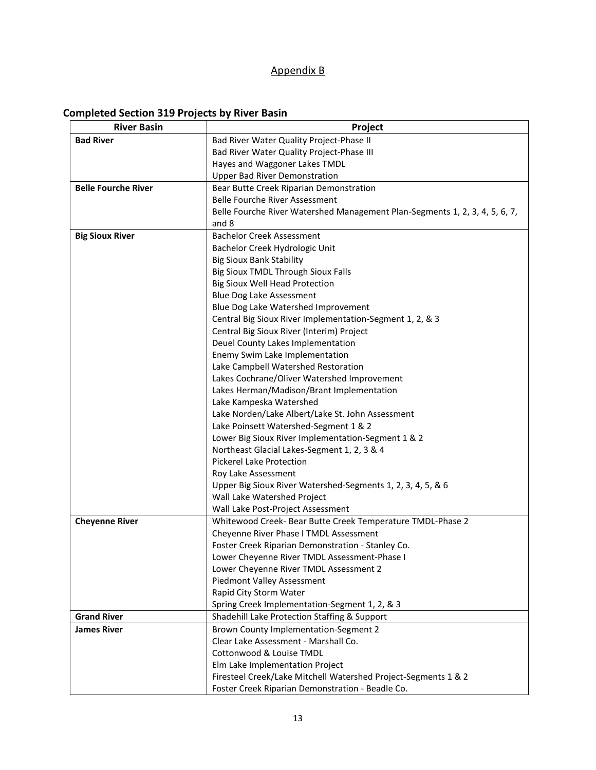## Appendix B

## **Completed Section 319 Projects by River Basin**

| <b>Bad River</b><br>Bad River Water Quality Project-Phase II<br>Bad River Water Quality Project-Phase III<br>Hayes and Waggoner Lakes TMDL<br><b>Upper Bad River Demonstration</b><br><b>Belle Fourche River</b><br>Bear Butte Creek Riparian Demonstration<br>Belle Fourche River Assessment<br>Belle Fourche River Watershed Management Plan-Segments 1, 2, 3, 4, 5, 6, 7,<br>and 8<br><b>Big Sioux River</b><br><b>Bachelor Creek Assessment</b><br>Bachelor Creek Hydrologic Unit<br><b>Big Sioux Bank Stability</b><br>Big Sioux TMDL Through Sioux Falls<br><b>Big Sioux Well Head Protection</b><br>Blue Dog Lake Assessment<br>Blue Dog Lake Watershed Improvement<br>Central Big Sioux River Implementation-Segment 1, 2, & 3<br>Central Big Sioux River (Interim) Project<br>Deuel County Lakes Implementation |
|--------------------------------------------------------------------------------------------------------------------------------------------------------------------------------------------------------------------------------------------------------------------------------------------------------------------------------------------------------------------------------------------------------------------------------------------------------------------------------------------------------------------------------------------------------------------------------------------------------------------------------------------------------------------------------------------------------------------------------------------------------------------------------------------------------------------------|
|                                                                                                                                                                                                                                                                                                                                                                                                                                                                                                                                                                                                                                                                                                                                                                                                                          |
|                                                                                                                                                                                                                                                                                                                                                                                                                                                                                                                                                                                                                                                                                                                                                                                                                          |
|                                                                                                                                                                                                                                                                                                                                                                                                                                                                                                                                                                                                                                                                                                                                                                                                                          |
|                                                                                                                                                                                                                                                                                                                                                                                                                                                                                                                                                                                                                                                                                                                                                                                                                          |
|                                                                                                                                                                                                                                                                                                                                                                                                                                                                                                                                                                                                                                                                                                                                                                                                                          |
|                                                                                                                                                                                                                                                                                                                                                                                                                                                                                                                                                                                                                                                                                                                                                                                                                          |
|                                                                                                                                                                                                                                                                                                                                                                                                                                                                                                                                                                                                                                                                                                                                                                                                                          |
|                                                                                                                                                                                                                                                                                                                                                                                                                                                                                                                                                                                                                                                                                                                                                                                                                          |
|                                                                                                                                                                                                                                                                                                                                                                                                                                                                                                                                                                                                                                                                                                                                                                                                                          |
|                                                                                                                                                                                                                                                                                                                                                                                                                                                                                                                                                                                                                                                                                                                                                                                                                          |
|                                                                                                                                                                                                                                                                                                                                                                                                                                                                                                                                                                                                                                                                                                                                                                                                                          |
|                                                                                                                                                                                                                                                                                                                                                                                                                                                                                                                                                                                                                                                                                                                                                                                                                          |
|                                                                                                                                                                                                                                                                                                                                                                                                                                                                                                                                                                                                                                                                                                                                                                                                                          |
|                                                                                                                                                                                                                                                                                                                                                                                                                                                                                                                                                                                                                                                                                                                                                                                                                          |
|                                                                                                                                                                                                                                                                                                                                                                                                                                                                                                                                                                                                                                                                                                                                                                                                                          |
|                                                                                                                                                                                                                                                                                                                                                                                                                                                                                                                                                                                                                                                                                                                                                                                                                          |
|                                                                                                                                                                                                                                                                                                                                                                                                                                                                                                                                                                                                                                                                                                                                                                                                                          |
|                                                                                                                                                                                                                                                                                                                                                                                                                                                                                                                                                                                                                                                                                                                                                                                                                          |
| Enemy Swim Lake Implementation                                                                                                                                                                                                                                                                                                                                                                                                                                                                                                                                                                                                                                                                                                                                                                                           |
| Lake Campbell Watershed Restoration                                                                                                                                                                                                                                                                                                                                                                                                                                                                                                                                                                                                                                                                                                                                                                                      |
| Lakes Cochrane/Oliver Watershed Improvement                                                                                                                                                                                                                                                                                                                                                                                                                                                                                                                                                                                                                                                                                                                                                                              |
| Lakes Herman/Madison/Brant Implementation                                                                                                                                                                                                                                                                                                                                                                                                                                                                                                                                                                                                                                                                                                                                                                                |
| Lake Kampeska Watershed                                                                                                                                                                                                                                                                                                                                                                                                                                                                                                                                                                                                                                                                                                                                                                                                  |
| Lake Norden/Lake Albert/Lake St. John Assessment                                                                                                                                                                                                                                                                                                                                                                                                                                                                                                                                                                                                                                                                                                                                                                         |
| Lake Poinsett Watershed-Segment 1 & 2                                                                                                                                                                                                                                                                                                                                                                                                                                                                                                                                                                                                                                                                                                                                                                                    |
| Lower Big Sioux River Implementation-Segment 1 & 2                                                                                                                                                                                                                                                                                                                                                                                                                                                                                                                                                                                                                                                                                                                                                                       |
| Northeast Glacial Lakes-Segment 1, 2, 3 & 4                                                                                                                                                                                                                                                                                                                                                                                                                                                                                                                                                                                                                                                                                                                                                                              |
| Pickerel Lake Protection                                                                                                                                                                                                                                                                                                                                                                                                                                                                                                                                                                                                                                                                                                                                                                                                 |
| Roy Lake Assessment                                                                                                                                                                                                                                                                                                                                                                                                                                                                                                                                                                                                                                                                                                                                                                                                      |
| Upper Big Sioux River Watershed-Segments 1, 2, 3, 4, 5, & 6                                                                                                                                                                                                                                                                                                                                                                                                                                                                                                                                                                                                                                                                                                                                                              |
| Wall Lake Watershed Project                                                                                                                                                                                                                                                                                                                                                                                                                                                                                                                                                                                                                                                                                                                                                                                              |
| Wall Lake Post-Project Assessment                                                                                                                                                                                                                                                                                                                                                                                                                                                                                                                                                                                                                                                                                                                                                                                        |
| <b>Cheyenne River</b><br>Whitewood Creek- Bear Butte Creek Temperature TMDL-Phase 2                                                                                                                                                                                                                                                                                                                                                                                                                                                                                                                                                                                                                                                                                                                                      |
| Cheyenne River Phase I TMDL Assessment                                                                                                                                                                                                                                                                                                                                                                                                                                                                                                                                                                                                                                                                                                                                                                                   |
| Foster Creek Riparian Demonstration - Stanley Co.                                                                                                                                                                                                                                                                                                                                                                                                                                                                                                                                                                                                                                                                                                                                                                        |
| Lower Cheyenne River TMDL Assessment-Phase I                                                                                                                                                                                                                                                                                                                                                                                                                                                                                                                                                                                                                                                                                                                                                                             |
| Lower Cheyenne River TMDL Assessment 2                                                                                                                                                                                                                                                                                                                                                                                                                                                                                                                                                                                                                                                                                                                                                                                   |
| Piedmont Valley Assessment                                                                                                                                                                                                                                                                                                                                                                                                                                                                                                                                                                                                                                                                                                                                                                                               |
| Rapid City Storm Water                                                                                                                                                                                                                                                                                                                                                                                                                                                                                                                                                                                                                                                                                                                                                                                                   |
| Spring Creek Implementation-Segment 1, 2, & 3<br><b>Grand River</b>                                                                                                                                                                                                                                                                                                                                                                                                                                                                                                                                                                                                                                                                                                                                                      |
| Shadehill Lake Protection Staffing & Support<br><b>James River</b>                                                                                                                                                                                                                                                                                                                                                                                                                                                                                                                                                                                                                                                                                                                                                       |
| Brown County Implementation-Segment 2<br>Clear Lake Assessment - Marshall Co.                                                                                                                                                                                                                                                                                                                                                                                                                                                                                                                                                                                                                                                                                                                                            |
| Cottonwood & Louise TMDL                                                                                                                                                                                                                                                                                                                                                                                                                                                                                                                                                                                                                                                                                                                                                                                                 |
| Elm Lake Implementation Project                                                                                                                                                                                                                                                                                                                                                                                                                                                                                                                                                                                                                                                                                                                                                                                          |
| Firesteel Creek/Lake Mitchell Watershed Project-Segments 1 & 2                                                                                                                                                                                                                                                                                                                                                                                                                                                                                                                                                                                                                                                                                                                                                           |
| Foster Creek Riparian Demonstration - Beadle Co.                                                                                                                                                                                                                                                                                                                                                                                                                                                                                                                                                                                                                                                                                                                                                                         |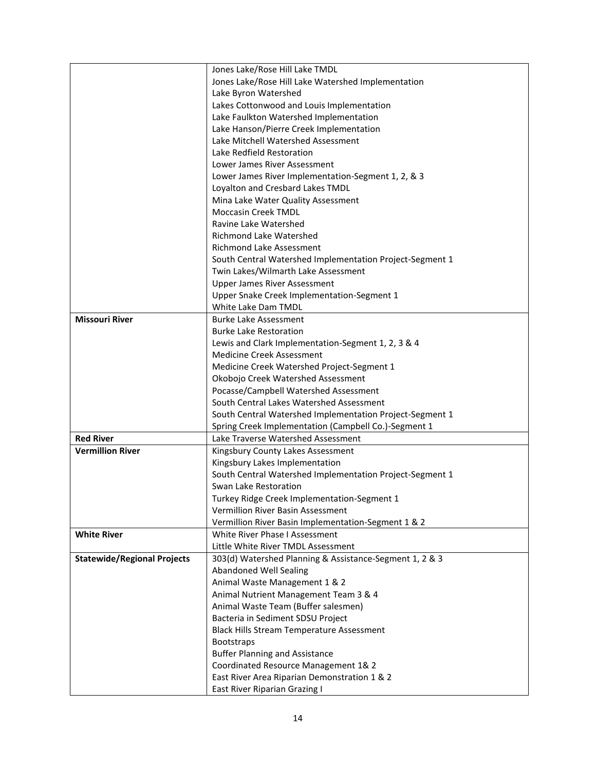|                                    | Jones Lake/Rose Hill Lake TMDL                           |
|------------------------------------|----------------------------------------------------------|
|                                    | Jones Lake/Rose Hill Lake Watershed Implementation       |
|                                    | Lake Byron Watershed                                     |
|                                    | Lakes Cottonwood and Louis Implementation                |
|                                    | Lake Faulkton Watershed Implementation                   |
|                                    | Lake Hanson/Pierre Creek Implementation                  |
|                                    | Lake Mitchell Watershed Assessment                       |
|                                    | Lake Redfield Restoration                                |
|                                    | Lower James River Assessment                             |
|                                    |                                                          |
|                                    | Lower James River Implementation-Segment 1, 2, & 3       |
|                                    | Loyalton and Cresbard Lakes TMDL                         |
|                                    | Mina Lake Water Quality Assessment                       |
|                                    | <b>Moccasin Creek TMDL</b>                               |
|                                    | Ravine Lake Watershed                                    |
|                                    | <b>Richmond Lake Watershed</b>                           |
|                                    | <b>Richmond Lake Assessment</b>                          |
|                                    | South Central Watershed Implementation Project-Segment 1 |
|                                    | Twin Lakes/Wilmarth Lake Assessment                      |
|                                    | <b>Upper James River Assessment</b>                      |
|                                    | Upper Snake Creek Implementation-Segment 1               |
|                                    | White Lake Dam TMDL                                      |
| <b>Missouri River</b>              | <b>Burke Lake Assessment</b>                             |
|                                    | <b>Burke Lake Restoration</b>                            |
|                                    | Lewis and Clark Implementation-Segment 1, 2, 3 & 4       |
|                                    | <b>Medicine Creek Assessment</b>                         |
|                                    | Medicine Creek Watershed Project-Segment 1               |
|                                    | Okobojo Creek Watershed Assessment                       |
|                                    | Pocasse/Campbell Watershed Assessment                    |
|                                    | South Central Lakes Watershed Assessment                 |
|                                    | South Central Watershed Implementation Project-Segment 1 |
|                                    | Spring Creek Implementation (Campbell Co.)-Segment 1     |
| <b>Red River</b>                   | Lake Traverse Watershed Assessment                       |
| <b>Vermillion River</b>            | Kingsbury County Lakes Assessment                        |
|                                    | Kingsbury Lakes Implementation                           |
|                                    | South Central Watershed Implementation Project-Segment 1 |
|                                    | Swan Lake Restoration                                    |
|                                    | Turkey Ridge Creek Implementation-Segment 1              |
|                                    | <b>Vermillion River Basin Assessment</b>                 |
|                                    | Vermillion River Basin Implementation-Segment 1 & 2      |
| <b>White River</b>                 | White River Phase I Assessment                           |
|                                    | Little White River TMDL Assessment                       |
| <b>Statewide/Regional Projects</b> | 303(d) Watershed Planning & Assistance-Segment 1, 2 & 3  |
|                                    | <b>Abandoned Well Sealing</b>                            |
|                                    | Animal Waste Management 1 & 2                            |
|                                    | Animal Nutrient Management Team 3 & 4                    |
|                                    | Animal Waste Team (Buffer salesmen)                      |
|                                    | Bacteria in Sediment SDSU Project                        |
|                                    | <b>Black Hills Stream Temperature Assessment</b>         |
|                                    | <b>Bootstraps</b>                                        |
|                                    | <b>Buffer Planning and Assistance</b>                    |
|                                    | Coordinated Resource Management 1& 2                     |
|                                    | East River Area Riparian Demonstration 1 & 2             |
|                                    | East River Riparian Grazing I                            |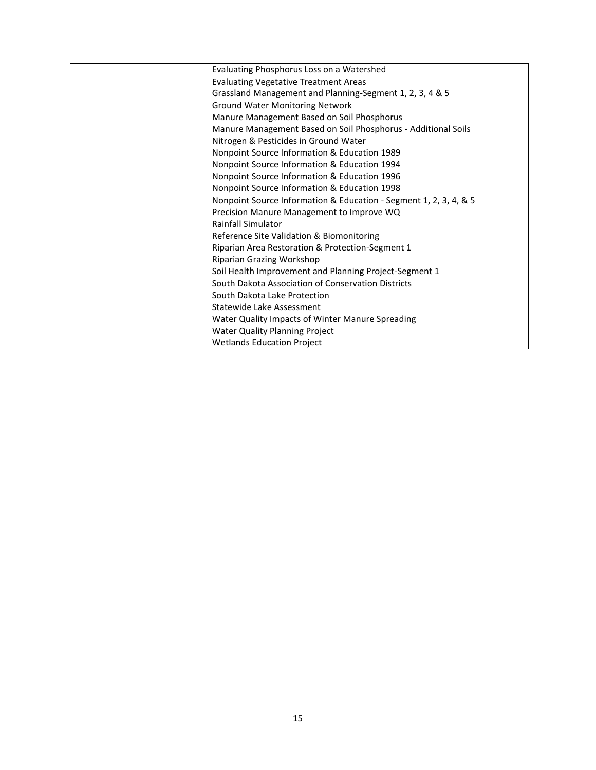| Evaluating Phosphorus Loss on a Watershed                         |
|-------------------------------------------------------------------|
| <b>Evaluating Vegetative Treatment Areas</b>                      |
| Grassland Management and Planning-Segment 1, 2, 3, 4 & 5          |
| <b>Ground Water Monitoring Network</b>                            |
| Manure Management Based on Soil Phosphorus                        |
| Manure Management Based on Soil Phosphorus - Additional Soils     |
| Nitrogen & Pesticides in Ground Water                             |
| Nonpoint Source Information & Education 1989                      |
| Nonpoint Source Information & Education 1994                      |
| Nonpoint Source Information & Education 1996                      |
| Nonpoint Source Information & Education 1998                      |
| Nonpoint Source Information & Education - Segment 1, 2, 3, 4, & 5 |
| Precision Manure Management to Improve WQ                         |
| <b>Rainfall Simulator</b>                                         |
| Reference Site Validation & Biomonitoring                         |
| Riparian Area Restoration & Protection-Segment 1                  |
| Riparian Grazing Workshop                                         |
| Soil Health Improvement and Planning Project-Segment 1            |
| South Dakota Association of Conservation Districts                |
| South Dakota Lake Protection                                      |
| Statewide Lake Assessment                                         |
| Water Quality Impacts of Winter Manure Spreading                  |
| Water Quality Planning Project                                    |
| <b>Wetlands Education Project</b>                                 |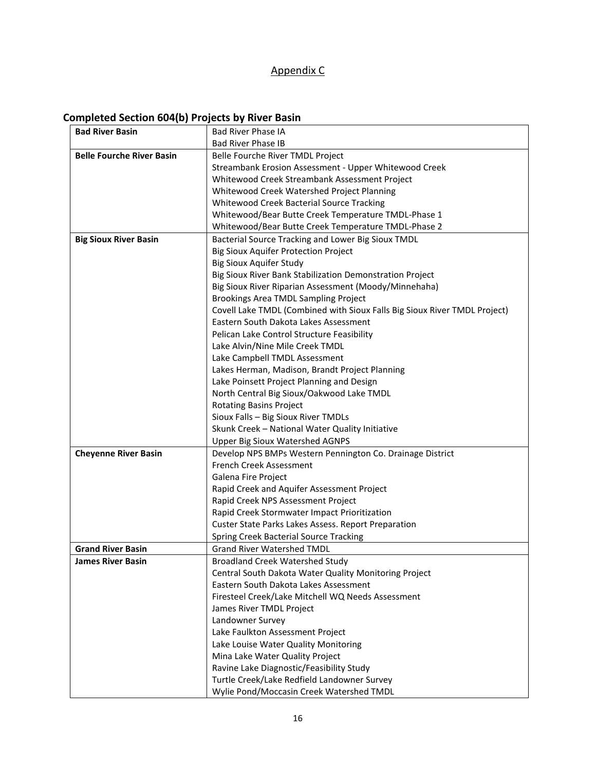## Appendix C

## **Completed Section 604(b) Projects by River Basin**

| <b>Bad River Basin</b>           | <b>Bad River Phase IA</b>                                                 |
|----------------------------------|---------------------------------------------------------------------------|
|                                  | <b>Bad River Phase IB</b>                                                 |
| <b>Belle Fourche River Basin</b> | Belle Fourche River TMDL Project                                          |
|                                  | Streambank Erosion Assessment - Upper Whitewood Creek                     |
|                                  | Whitewood Creek Streambank Assessment Project                             |
|                                  | Whitewood Creek Watershed Project Planning                                |
|                                  | Whitewood Creek Bacterial Source Tracking                                 |
|                                  | Whitewood/Bear Butte Creek Temperature TMDL-Phase 1                       |
|                                  | Whitewood/Bear Butte Creek Temperature TMDL-Phase 2                       |
| <b>Big Sioux River Basin</b>     | Bacterial Source Tracking and Lower Big Sioux TMDL                        |
|                                  | <b>Big Sioux Aquifer Protection Project</b>                               |
|                                  | <b>Big Sioux Aquifer Study</b>                                            |
|                                  | Big Sioux River Bank Stabilization Demonstration Project                  |
|                                  | Big Sioux River Riparian Assessment (Moody/Minnehaha)                     |
|                                  | Brookings Area TMDL Sampling Project                                      |
|                                  | Covell Lake TMDL (Combined with Sioux Falls Big Sioux River TMDL Project) |
|                                  | Eastern South Dakota Lakes Assessment                                     |
|                                  | Pelican Lake Control Structure Feasibility                                |
|                                  | Lake Alvin/Nine Mile Creek TMDL                                           |
|                                  | Lake Campbell TMDL Assessment                                             |
|                                  | Lakes Herman, Madison, Brandt Project Planning                            |
|                                  | Lake Poinsett Project Planning and Design                                 |
|                                  | North Central Big Sioux/Oakwood Lake TMDL                                 |
|                                  | <b>Rotating Basins Project</b>                                            |
|                                  | Sioux Falls - Big Sioux River TMDLs                                       |
|                                  | Skunk Creek - National Water Quality Initiative                           |
|                                  | <b>Upper Big Sioux Watershed AGNPS</b>                                    |
| <b>Cheyenne River Basin</b>      | Develop NPS BMPs Western Pennington Co. Drainage District                 |
|                                  | French Creek Assessment                                                   |
|                                  | Galena Fire Project                                                       |
|                                  | Rapid Creek and Aquifer Assessment Project                                |
|                                  | Rapid Creek NPS Assessment Project                                        |
|                                  | Rapid Creek Stormwater Impact Prioritization                              |
|                                  | <b>Custer State Parks Lakes Assess. Report Preparation</b>                |
|                                  | Spring Creek Bacterial Source Tracking                                    |
| <b>Grand River Basin</b>         | <b>Grand River Watershed TMDL</b>                                         |
| <b>James River Basin</b>         | <b>Broadland Creek Watershed Study</b>                                    |
|                                  | Central South Dakota Water Quality Monitoring Project                     |
|                                  | Eastern South Dakota Lakes Assessment                                     |
|                                  | Firesteel Creek/Lake Mitchell WQ Needs Assessment                         |
|                                  | James River TMDL Project                                                  |
|                                  | Landowner Survey                                                          |
|                                  | Lake Faulkton Assessment Project                                          |
|                                  | Lake Louise Water Quality Monitoring                                      |
|                                  | Mina Lake Water Quality Project                                           |
|                                  | Ravine Lake Diagnostic/Feasibility Study                                  |
|                                  | Turtle Creek/Lake Redfield Landowner Survey                               |
|                                  | Wylie Pond/Moccasin Creek Watershed TMDL                                  |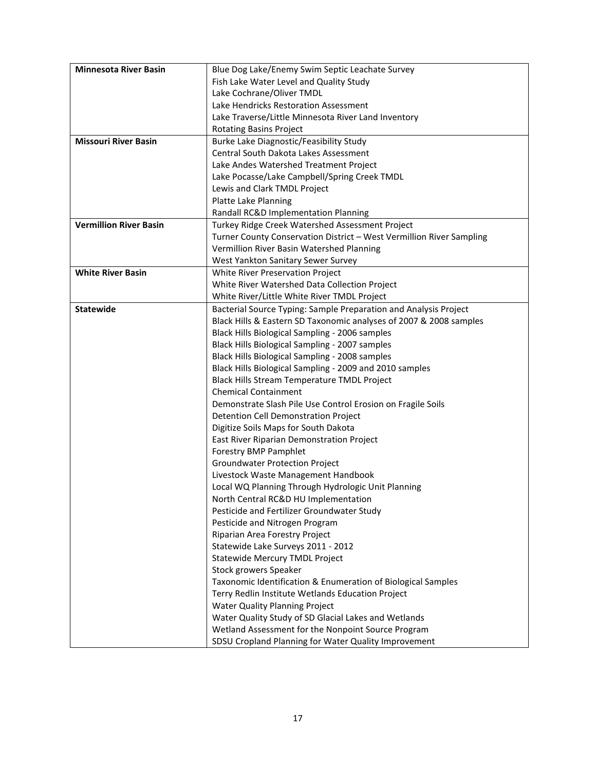| <b>Minnesota River Basin</b>  | Blue Dog Lake/Enemy Swim Septic Leachate Survey                      |
|-------------------------------|----------------------------------------------------------------------|
|                               | Fish Lake Water Level and Quality Study                              |
|                               | Lake Cochrane/Oliver TMDL                                            |
|                               | Lake Hendricks Restoration Assessment                                |
|                               | Lake Traverse/Little Minnesota River Land Inventory                  |
|                               | <b>Rotating Basins Project</b>                                       |
| <b>Missouri River Basin</b>   | Burke Lake Diagnostic/Feasibility Study                              |
|                               | Central South Dakota Lakes Assessment                                |
|                               | Lake Andes Watershed Treatment Project                               |
|                               | Lake Pocasse/Lake Campbell/Spring Creek TMDL                         |
|                               | Lewis and Clark TMDL Project                                         |
|                               | Platte Lake Planning                                                 |
|                               | Randall RC&D Implementation Planning                                 |
| <b>Vermillion River Basin</b> | Turkey Ridge Creek Watershed Assessment Project                      |
|                               | Turner County Conservation District - West Vermillion River Sampling |
|                               | Vermillion River Basin Watershed Planning                            |
|                               | West Yankton Sanitary Sewer Survey                                   |
| <b>White River Basin</b>      | White River Preservation Project                                     |
|                               | White River Watershed Data Collection Project                        |
|                               | White River/Little White River TMDL Project                          |
| <b>Statewide</b>              | Bacterial Source Typing: Sample Preparation and Analysis Project     |
|                               | Black Hills & Eastern SD Taxonomic analyses of 2007 & 2008 samples   |
|                               | Black Hills Biological Sampling - 2006 samples                       |
|                               | Black Hills Biological Sampling - 2007 samples                       |
|                               | Black Hills Biological Sampling - 2008 samples                       |
|                               | Black Hills Biological Sampling - 2009 and 2010 samples              |
|                               | Black Hills Stream Temperature TMDL Project                          |
|                               | <b>Chemical Containment</b>                                          |
|                               | Demonstrate Slash Pile Use Control Erosion on Fragile Soils          |
|                               | Detention Cell Demonstration Project                                 |
|                               | Digitize Soils Maps for South Dakota                                 |
|                               | East River Riparian Demonstration Project                            |
|                               | Forestry BMP Pamphlet                                                |
|                               | <b>Groundwater Protection Project</b>                                |
|                               | Livestock Waste Management Handbook                                  |
|                               | Local WQ Planning Through Hydrologic Unit Planning                   |
|                               | North Central RC&D HU Implementation                                 |
|                               | Pesticide and Fertilizer Groundwater Study                           |
|                               | Pesticide and Nitrogen Program                                       |
|                               | Riparian Area Forestry Project                                       |
|                               | Statewide Lake Surveys 2011 - 2012                                   |
|                               | <b>Statewide Mercury TMDL Project</b>                                |
|                               | Stock growers Speaker                                                |
|                               | Taxonomic Identification & Enumeration of Biological Samples         |
|                               | Terry Redlin Institute Wetlands Education Project                    |
|                               | <b>Water Quality Planning Project</b>                                |
|                               | Water Quality Study of SD Glacial Lakes and Wetlands                 |
|                               | Wetland Assessment for the Nonpoint Source Program                   |
|                               | SDSU Cropland Planning for Water Quality Improvement                 |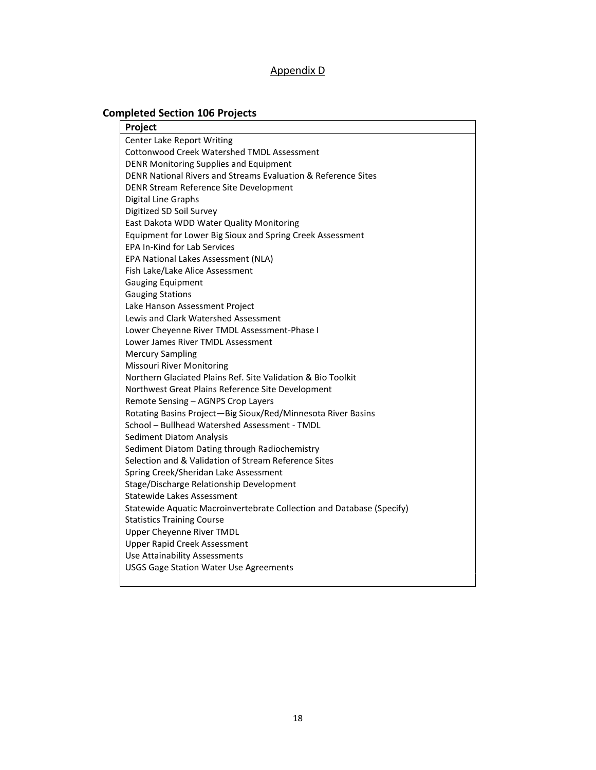### Appendix D

## **Completed Section 106 Projects**

| Project                                                               |
|-----------------------------------------------------------------------|
| Center Lake Report Writing                                            |
| Cottonwood Creek Watershed TMDL Assessment                            |
| <b>DENR Monitoring Supplies and Equipment</b>                         |
| DENR National Rivers and Streams Evaluation & Reference Sites         |
| DENR Stream Reference Site Development                                |
| Digital Line Graphs                                                   |
| Digitized SD Soil Survey                                              |
| East Dakota WDD Water Quality Monitoring                              |
| Equipment for Lower Big Sioux and Spring Creek Assessment             |
| <b>EPA In-Kind for Lab Services</b>                                   |
| EPA National Lakes Assessment (NLA)                                   |
| Fish Lake/Lake Alice Assessment                                       |
| <b>Gauging Equipment</b>                                              |
| <b>Gauging Stations</b>                                               |
| Lake Hanson Assessment Project                                        |
| Lewis and Clark Watershed Assessment                                  |
| Lower Cheyenne River TMDL Assessment-Phase I                          |
| Lower James River TMDL Assessment                                     |
| <b>Mercury Sampling</b>                                               |
| <b>Missouri River Monitoring</b>                                      |
| Northern Glaciated Plains Ref. Site Validation & Bio Toolkit          |
| Northwest Great Plains Reference Site Development                     |
| Remote Sensing - AGNPS Crop Layers                                    |
| Rotating Basins Project-Big Sioux/Red/Minnesota River Basins          |
| School - Bullhead Watershed Assessment - TMDL                         |
| <b>Sediment Diatom Analysis</b>                                       |
| Sediment Diatom Dating through Radiochemistry                         |
| Selection and & Validation of Stream Reference Sites                  |
| Spring Creek/Sheridan Lake Assessment                                 |
| Stage/Discharge Relationship Development                              |
| <b>Statewide Lakes Assessment</b>                                     |
| Statewide Aquatic Macroinvertebrate Collection and Database (Specify) |
| <b>Statistics Training Course</b>                                     |
| Upper Cheyenne River TMDL                                             |
| <b>Upper Rapid Creek Assessment</b>                                   |
| <b>Use Attainability Assessments</b>                                  |
| <b>USGS Gage Station Water Use Agreements</b>                         |
|                                                                       |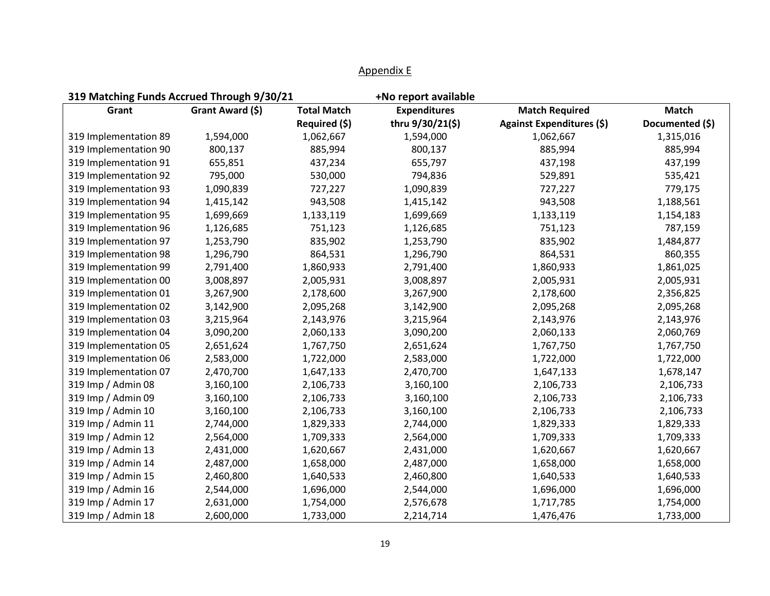| 319 Matching Funds Accrued Through 9/30/21 |                  |                    | +No report available |                           |                 |
|--------------------------------------------|------------------|--------------------|----------------------|---------------------------|-----------------|
| Grant                                      | Grant Award (\$) | <b>Total Match</b> | <b>Expenditures</b>  | <b>Match Required</b>     | <b>Match</b>    |
|                                            |                  | Required (\$)      | thru 9/30/21(\$)     | Against Expenditures (\$) | Documented (\$) |
| 319 Implementation 89                      | 1,594,000        | 1,062,667          | 1,594,000            | 1,062,667                 | 1,315,016       |
| 319 Implementation 90                      | 800,137          | 885,994            | 800,137              | 885,994                   | 885,994         |
| 319 Implementation 91                      | 655,851          | 437,234            | 655,797              | 437,198                   | 437,199         |
| 319 Implementation 92                      | 795,000          | 530,000            | 794,836              | 529,891                   | 535,421         |
| 319 Implementation 93                      | 1,090,839        | 727,227            | 1,090,839            | 727,227                   | 779,175         |
| 319 Implementation 94                      | 1,415,142        | 943,508            | 1,415,142            | 943,508                   | 1,188,561       |
| 319 Implementation 95                      | 1,699,669        | 1,133,119          | 1,699,669            | 1,133,119                 | 1,154,183       |
| 319 Implementation 96                      | 1,126,685        | 751,123            | 1,126,685            | 751,123                   | 787,159         |
| 319 Implementation 97                      | 1,253,790        | 835,902            | 1,253,790            | 835,902                   | 1,484,877       |
| 319 Implementation 98                      | 1,296,790        | 864,531            | 1,296,790            | 864,531                   | 860,355         |
| 319 Implementation 99                      | 2,791,400        | 1,860,933          | 2,791,400            | 1,860,933                 | 1,861,025       |
| 319 Implementation 00                      | 3,008,897        | 2,005,931          | 3,008,897            | 2,005,931                 | 2,005,931       |
| 319 Implementation 01                      | 3,267,900        | 2,178,600          | 3,267,900            | 2,178,600                 | 2,356,825       |
| 319 Implementation 02                      | 3,142,900        | 2,095,268          | 3,142,900            | 2,095,268                 | 2,095,268       |
| 319 Implementation 03                      | 3,215,964        | 2,143,976          | 3,215,964            | 2,143,976                 | 2,143,976       |
| 319 Implementation 04                      | 3,090,200        | 2,060,133          | 3,090,200            | 2,060,133                 | 2,060,769       |
| 319 Implementation 05                      | 2,651,624        | 1,767,750          | 2,651,624            | 1,767,750                 | 1,767,750       |
| 319 Implementation 06                      | 2,583,000        | 1,722,000          | 2,583,000            | 1,722,000                 | 1,722,000       |
| 319 Implementation 07                      | 2,470,700        | 1,647,133          | 2,470,700            | 1,647,133                 | 1,678,147       |
| 319 Imp / Admin 08                         | 3,160,100        | 2,106,733          | 3,160,100            | 2,106,733                 | 2,106,733       |
| 319 Imp / Admin 09                         | 3,160,100        | 2,106,733          | 3,160,100            | 2,106,733                 | 2,106,733       |
| 319 Imp / Admin 10                         | 3,160,100        | 2,106,733          | 3,160,100            | 2,106,733                 | 2,106,733       |
| 319 Imp / Admin 11                         | 2,744,000        | 1,829,333          | 2,744,000            | 1,829,333                 | 1,829,333       |
| 319 Imp / Admin 12                         | 2,564,000        | 1,709,333          | 2,564,000            | 1,709,333                 | 1,709,333       |
| 319 Imp / Admin 13                         | 2,431,000        | 1,620,667          | 2,431,000            | 1,620,667                 | 1,620,667       |
| 319 Imp / Admin 14                         | 2,487,000        | 1,658,000          | 2,487,000            | 1,658,000                 | 1,658,000       |
| 319 Imp / Admin 15                         | 2,460,800        | 1,640,533          | 2,460,800            | 1,640,533                 | 1,640,533       |
| 319 Imp / Admin 16                         | 2,544,000        | 1,696,000          | 2,544,000            | 1,696,000                 | 1,696,000       |
| 319 Imp / Admin 17                         | 2,631,000        | 1,754,000          | 2,576,678            | 1,717,785                 | 1,754,000       |
| 319 Imp / Admin 18                         | 2,600,000        | 1,733,000          | 2,214,714            | 1,476,476                 | 1,733,000       |

## Appendix E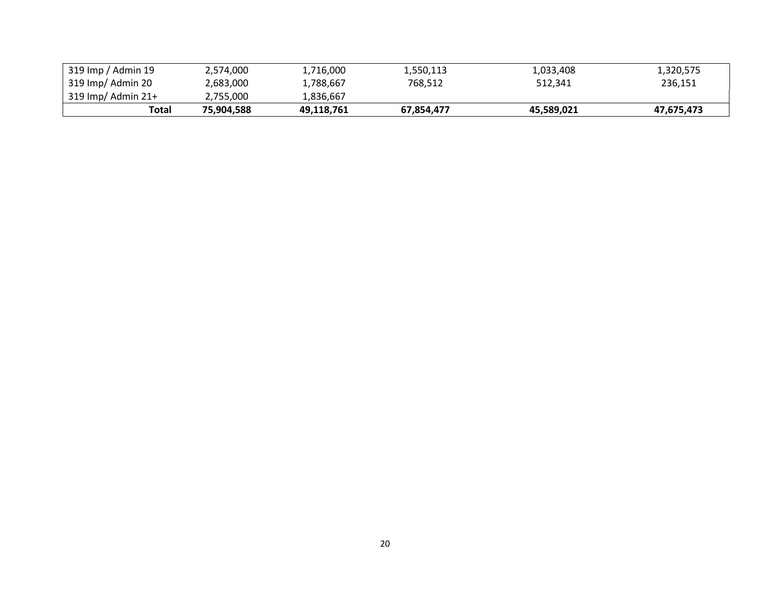|                                           | Total | 75.904.588 | 49,118,761 | 67.854.477 | 45,589,021 | 47,675,473 |
|-------------------------------------------|-------|------------|------------|------------|------------|------------|
| $319 \, \text{Imp} / \text{Admin} \, 21+$ |       | 2,755,000  | 1,836,667  |            |            |            |
| 319 Imp/ Admin 20                         |       | 2,683,000  | 1,788,667  | 768,512    | 512.341    | 236.151    |
| 319 Imp / Admin 19                        |       | 2,574,000  | 1,716,000  | 1,550,113  | 1,033,408  | 1,320,575  |